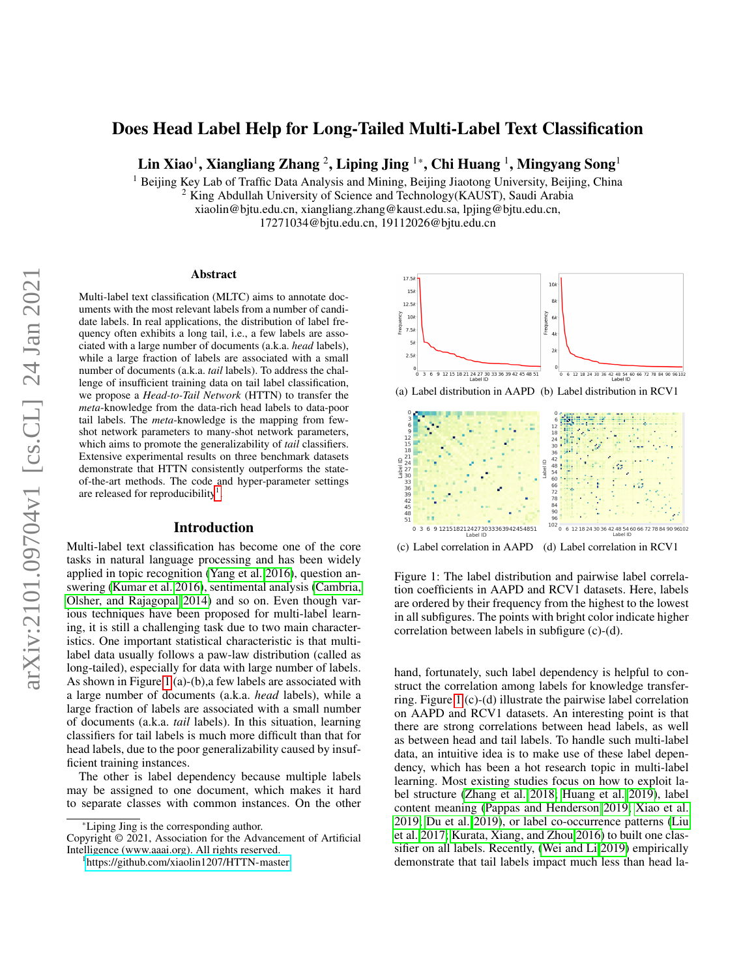# Does Head Label Help for Long-Tailed Multi-Label Text Classification

Lin Xiao<sup>1</sup>, Xiangliang Zhang <sup>2</sup>, Liping Jing <sup>1</sup>\*, Chi Huang <sup>1</sup>, Mingyang Song<sup>1</sup>

 $<sup>1</sup>$  Beijing Key Lab of Traffic Data Analysis and Mining, Beijing Jiaotong University, Beijing, China</sup>

<sup>2</sup> King Abdullah University of Science and Technology(KAUST), Saudi Arabia

xiaolin@bjtu.edu.cn, xiangliang.zhang@kaust.edu.sa, lpjing@bjtu.edu.cn,

17271034@bjtu.edu.cn, 19112026@bjtu.edu.cn

#### Abstract

Multi-label text classification (MLTC) aims to annotate documents with the most relevant labels from a number of candidate labels. In real applications, the distribution of label frequency often exhibits a long tail, i.e., a few labels are associated with a large number of documents (a.k.a. *head* labels), while a large fraction of labels are associated with a small number of documents (a.k.a. *tail* labels). To address the challenge of insufficient training data on tail label classification, we propose a *Head-to-Tail Network* (HTTN) to transfer the *meta*-knowledge from the data-rich head labels to data-poor tail labels. The *meta*-knowledge is the mapping from fewshot network parameters to many-shot network parameters, which aims to promote the generalizability of *tail* classifiers. Extensive experimental results on three benchmark datasets demonstrate that HTTN consistently outperforms the stateof-the-art methods. The code and hyper-parameter settings are released for reproducibility<sup>[1](#page-0-0)</sup>.

### Introduction

Multi-label text classification has become one of the core tasks in natural language processing and has been widely applied in topic recognition [\(Yang et al. 2016\)](#page-8-0), question answering [\(Kumar et al. 2016\)](#page-7-0), sentimental analysis [\(Cambria,](#page-7-1) [Olsher, and Rajagopal 2014\)](#page-7-1) and so on. Even though various techniques have been proposed for multi-label learning, it is still a challenging task due to two main characteristics. One important statistical characteristic is that multilabel data usually follows a paw-law distribution (called as long-tailed), especially for data with large number of labels. As shown in Figure [1](#page-0-1) (a)-(b),a few labels are associated with a large number of documents (a.k.a. *head* labels), while a large fraction of labels are associated with a small number of documents (a.k.a. *tail* labels). In this situation, learning classifiers for tail labels is much more difficult than that for head labels, due to the poor generalizability caused by insufficient training instances.

The other is label dependency because multiple labels may be assigned to one document, which makes it hard to separate classes with common instances. On the other

<span id="page-0-1"></span>



(c) Label correlation in AAPD (d) Label correlation in RCV1

Figure 1: The label distribution and pairwise label correlation coefficients in AAPD and RCV1 datasets. Here, labels are ordered by their frequency from the highest to the lowest in all subfigures. The points with bright color indicate higher correlation between labels in subfigure (c)-(d).

hand, fortunately, such label dependency is helpful to construct the correlation among labels for knowledge transferring. Figure [1](#page-0-1) (c)-(d) illustrate the pairwise label correlation on AAPD and RCV1 datasets. An interesting point is that there are strong correlations between head labels, as well as between head and tail labels. To handle such multi-label data, an intuitive idea is to make use of these label dependency, which has been a hot research topic in multi-label learning. Most existing studies focus on how to exploit label structure [\(Zhang et al. 2018;](#page-8-1) [Huang et al. 2019\)](#page-7-2), label content meaning [\(Pappas and Henderson 2019;](#page-7-3) [Xiao et al.](#page-8-2) [2019;](#page-8-2) [Du et al. 2019\)](#page-7-4), or label co-occurrence patterns [\(Liu](#page-7-5) [et al. 2017;](#page-7-5) [Kurata, Xiang, and Zhou 2016\)](#page-7-6) to built one classifier on all labels. Recently, [\(Wei and Li 2019\)](#page-8-3) empirically demonstrate that tail labels impact much less than head la-

<sup>\*</sup>Liping Jing is the corresponding author.

Copyright © 2021, Association for the Advancement of Artificial Intelligence (www.aaai.org). All rights reserved.

<span id="page-0-0"></span><sup>1</sup> <https://github.com/xiaolin1207/HTTN-master>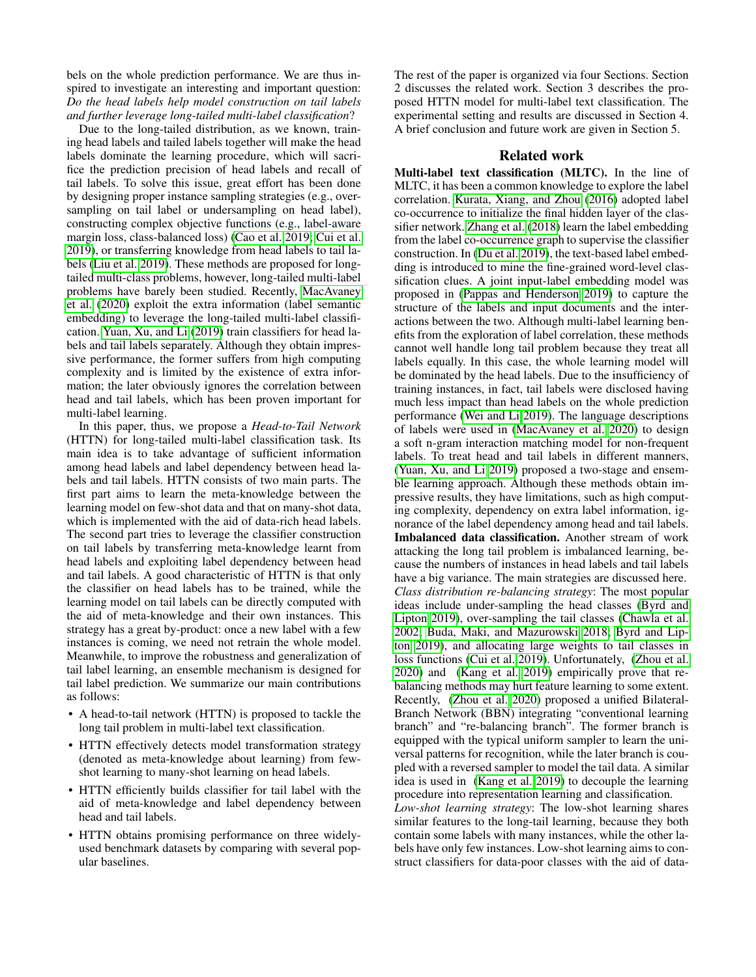bels on the whole prediction performance. We are thus inspired to investigate an interesting and important question: *Do the head labels help model construction on tail labels and further leverage long-tailed multi-label classification*?

Due to the long-tailed distribution, as we known, training head labels and tailed labels together will make the head labels dominate the learning procedure, which will sacrifice the prediction precision of head labels and recall of tail labels. To solve this issue, great effort has been done by designing proper instance sampling strategies (e.g., oversampling on tail label or undersampling on head label), constructing complex objective functions (e.g., label-aware margin loss, class-balanced loss) [\(Cao et al. 2019;](#page-7-7) [Cui et al.](#page-7-8) [2019\)](#page-7-8), or transferring knowledge from head labels to tail labels [\(Liu et al. 2019\)](#page-7-9). These methods are proposed for longtailed multi-class problems, however, long-tailed multi-label problems have barely been studied. Recently, [MacAvaney](#page-7-10) [et al.](#page-7-10) [\(2020\)](#page-7-10) exploit the extra information (label semantic embedding) to leverage the long-tailed multi-label classification. [Yuan, Xu, and Li](#page-8-4) [\(2019\)](#page-8-4) train classifiers for head labels and tail labels separately. Although they obtain impressive performance, the former suffers from high computing complexity and is limited by the existence of extra information; the later obviously ignores the correlation between head and tail labels, which has been proven important for multi-label learning.

In this paper, thus, we propose a *Head-to-Tail Network* (HTTN) for long-tailed multi-label classification task. Its main idea is to take advantage of sufficient information among head labels and label dependency between head labels and tail labels. HTTN consists of two main parts. The first part aims to learn the meta-knowledge between the learning model on few-shot data and that on many-shot data, which is implemented with the aid of data-rich head labels. The second part tries to leverage the classifier construction on tail labels by transferring meta-knowledge learnt from head labels and exploiting label dependency between head and tail labels. A good characteristic of HTTN is that only the classifier on head labels has to be trained, while the learning model on tail labels can be directly computed with the aid of meta-knowledge and their own instances. This strategy has a great by-product: once a new label with a few instances is coming, we need not retrain the whole model. Meanwhile, to improve the robustness and generalization of tail label learning, an ensemble mechanism is designed for tail label prediction. We summarize our main contributions as follows:

- A head-to-tail network (HTTN) is proposed to tackle the long tail problem in multi-label text classification.
- HTTN effectively detects model transformation strategy (denoted as meta-knowledge about learning) from fewshot learning to many-shot learning on head labels.
- HTTN efficiently builds classifier for tail label with the aid of meta-knowledge and label dependency between head and tail labels.
- HTTN obtains promising performance on three widelyused benchmark datasets by comparing with several popular baselines.

The rest of the paper is organized via four Sections. Section 2 discusses the related work. Section 3 describes the proposed HTTN model for multi-label text classification. The experimental setting and results are discussed in Section 4. A brief conclusion and future work are given in Section 5.

## Related work

Multi-label text classification (MLTC). In the line of MLTC, it has been a common knowledge to explore the label correlation. [Kurata, Xiang, and Zhou](#page-7-6) [\(2016\)](#page-7-6) adopted label co-occurrence to initialize the final hidden layer of the classifier network. [Zhang et al.](#page-8-1) [\(2018\)](#page-8-1) learn the label embedding from the label co-occurrence graph to supervise the classifier construction. In [\(Du et al. 2019\)](#page-7-4), the text-based label embedding is introduced to mine the fine-grained word-level classification clues. A joint input-label embedding model was proposed in [\(Pappas and Henderson 2019\)](#page-7-3) to capture the structure of the labels and input documents and the interactions between the two. Although multi-label learning benefits from the exploration of label correlation, these methods cannot well handle long tail problem because they treat all labels equally. In this case, the whole learning model will be dominated by the head labels. Due to the insufficiency of training instances, in fact, tail labels were disclosed having much less impact than head labels on the whole prediction performance [\(Wei and Li 2019\)](#page-8-3). The language descriptions of labels were used in [\(MacAvaney et al. 2020\)](#page-7-10) to design a soft n-gram interaction matching model for non-frequent labels. To treat head and tail labels in different manners, [\(Yuan, Xu, and Li 2019\)](#page-8-4) proposed a two-stage and ensemble learning approach. Although these methods obtain impressive results, they have limitations, such as high computing complexity, dependency on extra label information, ignorance of the label dependency among head and tail labels. Imbalanced data classification. Another stream of work attacking the long tail problem is imbalanced learning, because the numbers of instances in head labels and tail labels have a big variance. The main strategies are discussed here. *Class distribution re-balancing strategy*: The most popular ideas include under-sampling the head classes [\(Byrd and](#page-7-11) [Lipton 2019\)](#page-7-11), over-sampling the tail classes [\(Chawla et al.](#page-7-12) [2002;](#page-7-12) [Buda, Maki, and Mazurowski 2018;](#page-7-13) [Byrd and Lip](#page-7-11)[ton 2019\)](#page-7-11), and allocating large weights to tail classes in loss functions [\(Cui et al. 2019\)](#page-7-8). Unfortunately, [\(Zhou et al.](#page-8-5) [2020\)](#page-8-5) and [\(Kang et al. 2019\)](#page-7-14) empirically prove that rebalancing methods may hurt feature learning to some extent. Recently, [\(Zhou et al. 2020\)](#page-8-5) proposed a unified Bilateral-Branch Network (BBN) integrating "conventional learning branch" and "re-balancing branch". The former branch is equipped with the typical uniform sampler to learn the universal patterns for recognition, while the later branch is coupled with a reversed sampler to model the tail data. A similar idea is used in [\(Kang et al. 2019\)](#page-7-14) to decouple the learning procedure into representation learning and classification.

*Low-shot learning strategy*: The low-shot learning shares similar features to the long-tail learning, because they both contain some labels with many instances, while the other labels have only few instances. Low-shot learning aims to construct classifiers for data-poor classes with the aid of data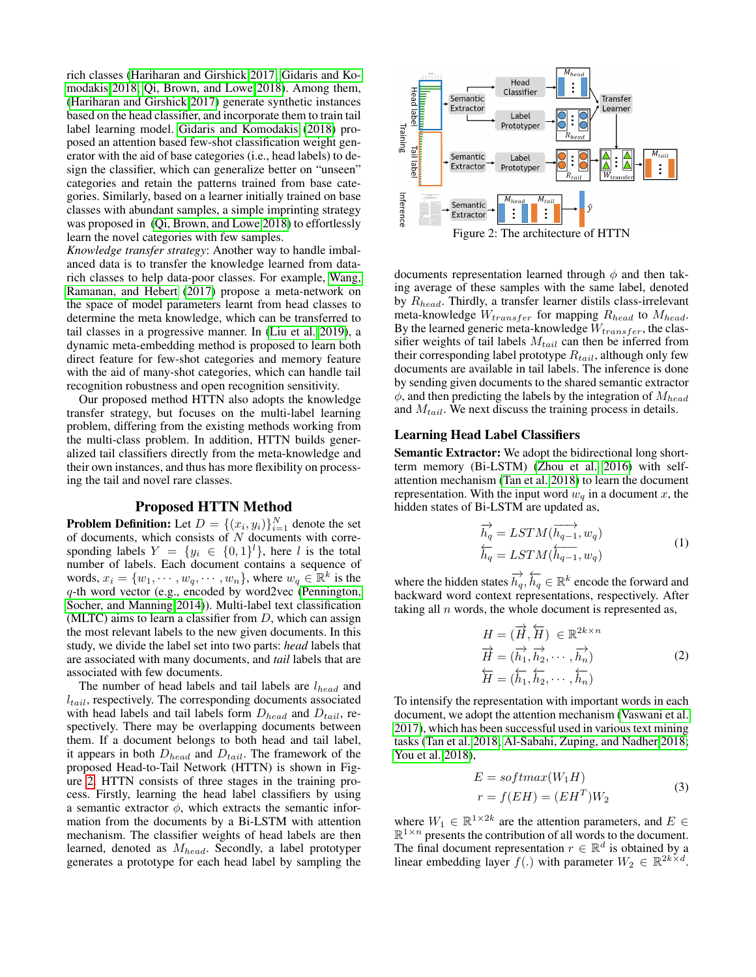rich classes [\(Hariharan and Girshick 2017;](#page-7-15) [Gidaris and Ko](#page-7-16)[modakis 2018;](#page-7-16) [Qi, Brown, and Lowe 2018\)](#page-7-17). Among them, [\(Hariharan and Girshick 2017\)](#page-7-15) generate synthetic instances based on the head classifier, and incorporate them to train tail label learning model. [Gidaris and Komodakis](#page-7-16) [\(2018\)](#page-7-16) proposed an attention based few-shot classification weight generator with the aid of base categories (i.e., head labels) to design the classifier, which can generalize better on "unseen" categories and retain the patterns trained from base categories. Similarly, based on a learner initially trained on base classes with abundant samples, a simple imprinting strategy was proposed in [\(Qi, Brown, and Lowe 2018\)](#page-7-17) to effortlessly learn the novel categories with few samples.

*Knowledge transfer strategy*: Another way to handle imbalanced data is to transfer the knowledge learned from datarich classes to help data-poor classes. For example, [Wang,](#page-8-6) [Ramanan, and Hebert](#page-8-6) [\(2017\)](#page-8-6) propose a meta-network on the space of model parameters learnt from head classes to determine the meta knowledge, which can be transferred to tail classes in a progressive manner. In [\(Liu et al. 2019\)](#page-7-9), a dynamic meta-embedding method is proposed to learn both direct feature for few-shot categories and memory feature with the aid of many-shot categories, which can handle tail recognition robustness and open recognition sensitivity.

Our proposed method HTTN also adopts the knowledge transfer strategy, but focuses on the multi-label learning problem, differing from the existing methods working from the multi-class problem. In addition, HTTN builds generalized tail classifiers directly from the meta-knowledge and their own instances, and thus has more flexibility on processing the tail and novel rare classes.

### Proposed HTTN Method

**Problem Definition:** Let  $D = \{(x_i, y_i)\}_{i=1}^N$  denote the set of documents, which consists of  $N$  documents with corresponding labels  $Y = \{y_i \in \{0,1\}^l\}$ , here l is the total number of labels. Each document contains a sequence of words,  $x_i = \{w_1, \dots, w_q, \dots, w_n\}$ , where  $w_q \in \mathbb{R}^k$  is the q-th word vector (e.g., encoded by word2vec [\(Pennington,](#page-7-18) [Socher, and Manning 2014\)](#page-7-18)). Multi-label text classification (MLTC) aims to learn a classifier from  $D$ , which can assign the most relevant labels to the new given documents. In this study, we divide the label set into two parts: *head* labels that are associated with many documents, and *tail* labels that are associated with few documents.

The number of head labels and tail labels are  $l_{head}$  and  $l_{tail}$ , respectively. The corresponding documents associated with head labels and tail labels form  $D_{head}$  and  $D_{tail}$ , respectively. There may be overlapping documents between them. If a document belongs to both head and tail label, it appears in both  $D_{head}$  and  $D_{tail}$ . The framework of the proposed Head-to-Tail Network (HTTN) is shown in Figure [2.](#page-2-0) HTTN consists of three stages in the training process. Firstly, learning the head label classifiers by using a semantic extractor  $\phi$ , which extracts the semantic information from the documents by a Bi-LSTM with attention mechanism. The classifier weights of head labels are then learned, denoted as  $M_{head}$ . Secondly, a label prototyper generates a prototype for each head label by sampling the

<span id="page-2-0"></span>

documents representation learned through  $\phi$  and then taking average of these samples with the same label, denoted by  $R_{head}$ . Thirdly, a transfer learner distils class-irrelevant meta-knowledge  $W_{transfer}$  for mapping  $R_{head}$  to  $M_{head}$ . By the learned generic meta-knowledge  $W_{transfer}$ , the classifier weights of tail labels  $M_{tail}$  can then be inferred from their corresponding label prototype  $R_{tail}$ , although only few documents are available in tail labels. The inference is done by sending given documents to the shared semantic extractor  $\phi$ , and then predicting the labels by the integration of  $M_{head}$ and  $M_{tail}$ . We next discuss the training process in details.

#### Learning Head Label Classifiers

Semantic Extractor: We adopt the bidirectional long shortterm memory (Bi-LSTM) [\(Zhou et al. 2016\)](#page-8-7) with selfattention mechanism [\(Tan et al. 2018\)](#page-7-19) to learn the document representation. With the input word  $w_q$  in a document x, the hidden states of Bi-LSTM are updated as,

$$
\overrightarrow{h_q} = LSTM(\overrightarrow{h_{q-1}}, w_q)
$$
  
\n
$$
\overleftarrow{h_q} = LSTM(\overleftarrow{h_{q-1}}, w_q)
$$
 (1)

where the hidden states  $\overrightarrow{h_q}$ ,  $\overleftarrow{h_q} \in \mathbb{R}^k$  encode the forward and backward word context representations, respectively. After taking all  $n$  words, the whole document is represented as,

$$
H = (\overrightarrow{H}, \overleftarrow{H}) \in \mathbb{R}^{2k \times n}
$$
  
\n
$$
\overrightarrow{H} = (\overrightarrow{h_1}, \overrightarrow{h_2}, \cdots, \overrightarrow{h_n})
$$
  
\n
$$
\overleftarrow{H} = (\overleftarrow{h_1}, \overleftarrow{h_2}, \cdots, \overleftarrow{h_n})
$$
\n(2)

To intensify the representation with important words in each document, we adopt the attention mechanism [\(Vaswani et al.](#page-8-8) [2017\)](#page-8-8), which has been successful used in various text mining tasks [\(Tan et al. 2018;](#page-7-19) [Al-Sabahi, Zuping, and Nadher 2018;](#page-7-20) [You et al. 2018\)](#page-8-9),

$$
E = softmax(W_1H)
$$
  

$$
r = f(EH) = (EH^T)W_2
$$
 (3)

where  $W_1 \in \mathbb{R}^{1 \times 2k}$  are the attention parameters, and  $E \in$  $\mathbb{R}^{1 \times n}$  presents the contribution of all words to the document. The final document representation  $r \in \mathbb{R}^d$  is obtained by a linear embedding layer  $f(.)$  with parameter  $W_2 \in \mathbb{R}^{2k \times d}$ .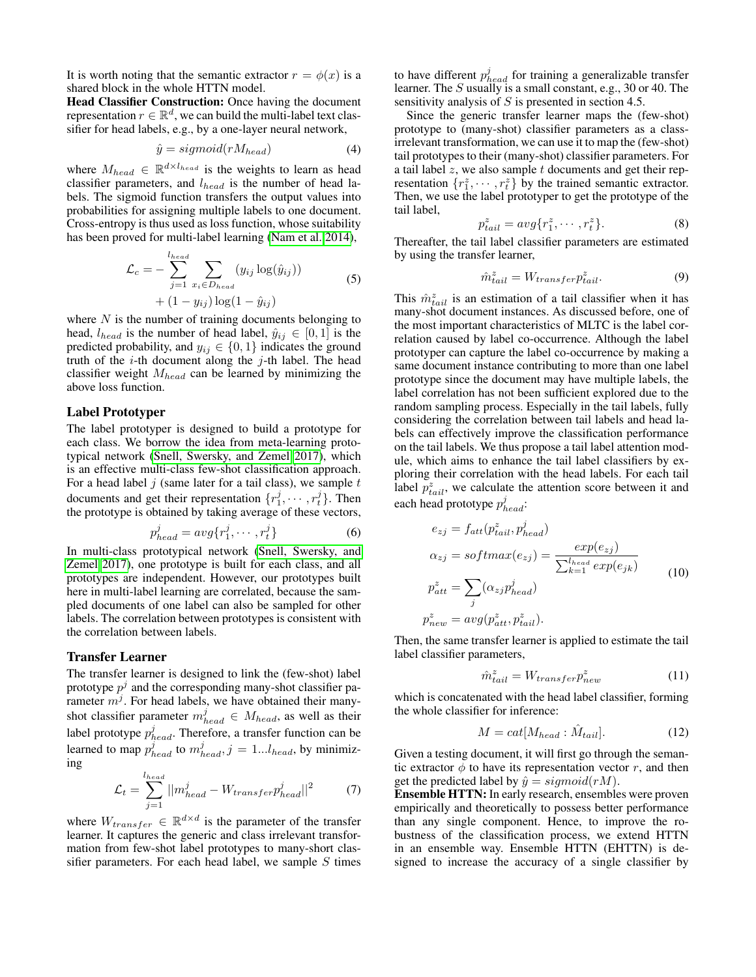It is worth noting that the semantic extractor  $r = \phi(x)$  is a shared block in the whole HTTN model.

Head Classifier Construction: Once having the document representation  $r \in \mathbb{R}^d$ , we can build the multi-label text classifier for head labels, e.g., by a one-layer neural network,

$$
\hat{y} = sigmoid(rM_{head})\tag{4}
$$

where  $M_{head} \in \mathbb{R}^{d \times l_{head}}$  is the weights to learn as head classifier parameters, and  $l_{head}$  is the number of head labels. The sigmoid function transfers the output values into probabilities for assigning multiple labels to one document. Cross-entropy is thus used as loss function, whose suitability has been proved for multi-label learning [\(Nam et al. 2014\)](#page-7-21),

$$
\mathcal{L}_c = -\sum_{j=1}^{l_{head}} \sum_{x_i \in D_{head}} (y_{ij} \log(\hat{y}_{ij}))
$$
  
 
$$
+ (1 - y_{ij}) \log(1 - \hat{y}_{ij})
$$
 (5)

where  $N$  is the number of training documents belonging to head,  $l_{head}$  is the number of head label,  $\hat{y}_{ij} \in [0, 1]$  is the predicted probability, and  $y_{ij} \in \{0, 1\}$  indicates the ground truth of the  $i$ -th document along the  $j$ -th label. The head classifier weight  $M_{head}$  can be learned by minimizing the above loss function.

### Label Prototyper

The label prototyper is designed to build a prototype for each class. We borrow the idea from meta-learning prototypical network [\(Snell, Swersky, and Zemel 2017\)](#page-7-22), which is an effective multi-class few-shot classification approach. For a head label  $j$  (same later for a tail class), we sample  $t$ documents and get their representation  $\{r_1^j, \dots, r_t^j\}$ . Then the prototype is obtained by taking average of these vectors,

$$
p_{head}^j = avg\{r_1^j, \cdots, r_t^j\}
$$
 (6)

In multi-class prototypical network [\(Snell, Swersky, and](#page-7-22) [Zemel 2017\)](#page-7-22), one prototype is built for each class, and all prototypes are independent. However, our prototypes built here in multi-label learning are correlated, because the sampled documents of one label can also be sampled for other labels. The correlation between prototypes is consistent with the correlation between labels.

#### Transfer Learner

The transfer learner is designed to link the (few-shot) label prototype  $p^j$  and the corresponding many-shot classifier parameter  $m^j$ . For head labels, we have obtained their manyshot classifier parameter  $m_{head}^j \in M_{head}$ , as well as their label prototype  $p_{head}^j$ . Therefore, a transfer function can be learned to map  $p_{head}^j$  to  $m_{head}^j$ ,  $j = 1...l_{head}$ , by minimizing

$$
\mathcal{L}_t = \sum_{j=1}^{l_{head}} ||m_{head}^j - W_{transfer}p_{head}^j||^2 \tag{7}
$$

where  $W_{transfer} \in \mathbb{R}^{d \times d}$  is the parameter of the transfer learner. It captures the generic and class irrelevant transformation from few-shot label prototypes to many-short classifier parameters. For each head label, we sample  $S$  times

to have different  $p_{head}^j$  for training a generalizable transfer learner. The S usually is a small constant, e.g., 30 or 40. The sensitivity analysis of  $S$  is presented in section 4.5.

Since the generic transfer learner maps the (few-shot) prototype to (many-shot) classifier parameters as a classirrelevant transformation, we can use it to map the (few-shot) tail prototypes to their (many-shot) classifier parameters. For a tail label  $z$ , we also sample  $t$  documents and get their representation  $\{r_1^z, \dots, r_t^z\}$  by the trained semantic extractor. Then, we use the label prototyper to get the prototype of the tail label,

$$
p_{tail}^z = avg\{r_1^z, \cdots, r_t^z\}.
$$
 (8)

Thereafter, the tail label classifier parameters are estimated by using the transfer learner,

$$
\hat{m}_{tail}^z = W_{transfer} p_{tail}^z.
$$
\n(9)

This  $\hat{m}_{tail}^z$  is an estimation of a tail classifier when it has many-shot document instances. As discussed before, one of the most important characteristics of MLTC is the label correlation caused by label co-occurrence. Although the label prototyper can capture the label co-occurrence by making a same document instance contributing to more than one label prototype since the document may have multiple labels, the label correlation has not been sufficient explored due to the random sampling process. Especially in the tail labels, fully considering the correlation between tail labels and head labels can effectively improve the classification performance on the tail labels. We thus propose a tail label attention module, which aims to enhance the tail label classifiers by exploring their correlation with the head labels. For each tail label  $p_{tail}^z$ , we calculate the attention score between it and each head prototype  $p_{head}^j$ :

$$
e_{zj} = f_{att}(p_{tail}^{z}, p_{head}^{j})
$$
  
\n
$$
\alpha_{zj} = softmax(e_{zj}) = \frac{exp(e_{zj})}{\sum_{k=1}^{l_{head}} exp(e_{jk})}
$$
  
\n
$$
p_{att}^{z} = \sum_{j} (\alpha_{zj} p_{head}^{j})
$$
  
\n
$$
p_{new}^{z} = avg(p_{att}^{z}, p_{tail}^{z}).
$$
\n(10)

Then, the same transfer learner is applied to estimate the tail label classifier parameters,

$$
\hat{m}_{tail}^z = W_{transfer} p_{new}^z \tag{11}
$$

which is concatenated with the head label classifier, forming the whole classifier for inference:

$$
M = cat[M_{head} : \hat{M}_{tail}]. \tag{12}
$$

Given a testing document, it will first go through the semantic extractor  $\phi$  to have its representation vector r, and then get the predicted label by  $\hat{y} = sigmoid(rM)$ .

Ensemble HTTN: In early research, ensembles were proven empirically and theoretically to possess better performance than any single component. Hence, to improve the robustness of the classification process, we extend HTTN in an ensemble way. Ensemble HTTN (EHTTN) is designed to increase the accuracy of a single classifier by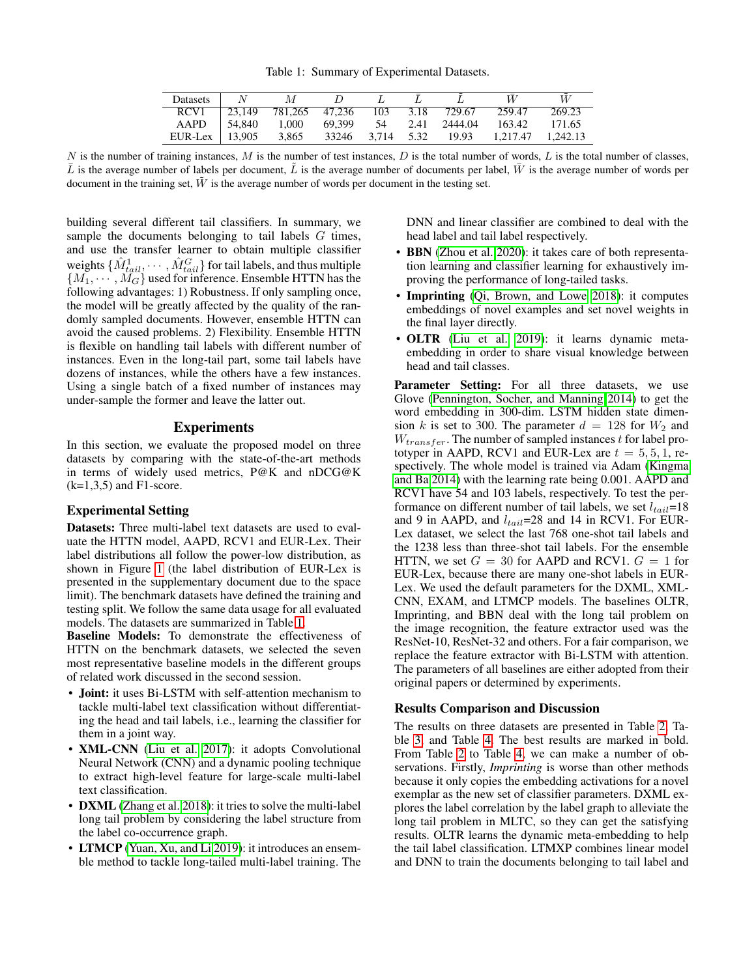Table 1: Summary of Experimental Datasets.

| <b>Datasets</b>    | N      | $\mathcal{M}$           |                  |      |              |                   | W      |
|--------------------|--------|-------------------------|------------------|------|--------------|-------------------|--------|
| RCV <sub>1</sub>   | 23.149 | 781.265 47.236 103 3.18 |                  |      | 729.67       | 259.47            | 269.23 |
| AAPD               | 54.840 | 1.000                   | 69.399           | - 54 | 2.41 2444.04 | 163.42            | 171.65 |
| $EUR-Lex$   13.905 |        | 3.865                   | 33246 3.714 5.32 |      | 19.93        | 1.217.47 1.242.13 |        |

<span id="page-4-0"></span>N is the number of training instances, M is the number of test instances, D is the total number of words, L is the total number of classes,  $\bar{L}$  is the average number of labels per document,  $\tilde{L}$  is the average number of documents per label,  $\bar{W}$  is the average number of words per document in the training set,  $\tilde{W}$  is the average number of words per document in the testing set.

building several different tail classifiers. In summary, we sample the documents belonging to tail labels G times, and use the transfer learner to obtain multiple classifier weights  $\{\hat{M}^1_{tail}, \cdots, \hat{M}^G_{tail}\}$  for tail labels, and thus multiple  $\{M_1, \cdots, M_G\}$  used for inference. Ensemble HTTN has the following advantages: 1) Robustness. If only sampling once, the model will be greatly affected by the quality of the randomly sampled documents. However, ensemble HTTN can avoid the caused problems. 2) Flexibility. Ensemble HTTN is flexible on handling tail labels with different number of instances. Even in the long-tail part, some tail labels have dozens of instances, while the others have a few instances. Using a single batch of a fixed number of instances may under-sample the former and leave the latter out.

### Experiments

In this section, we evaluate the proposed model on three datasets by comparing with the state-of-the-art methods in terms of widely used metrics, P@K and nDCG@K  $(k=1,3,5)$  and F1-score.

### Experimental Setting

Datasets: Three multi-label text datasets are used to evaluate the HTTN model, AAPD, RCV1 and EUR-Lex. Their label distributions all follow the power-low distribution, as shown in Figure [1](#page-0-1) (the label distribution of EUR-Lex is presented in the supplementary document due to the space limit). The benchmark datasets have defined the training and testing split. We follow the same data usage for all evaluated models. The datasets are summarized in Table [1.](#page-4-0)

Baseline Models: To demonstrate the effectiveness of HTTN on the benchmark datasets, we selected the seven most representative baseline models in the different groups of related work discussed in the second session.

- Joint: it uses Bi-LSTM with self-attention mechanism to tackle multi-label text classification without differentiating the head and tail labels, i.e., learning the classifier for them in a joint way.
- XML-CNN [\(Liu et al. 2017\)](#page-7-5): it adopts Convolutional Neural Network (CNN) and a dynamic pooling technique to extract high-level feature for large-scale multi-label text classification.
- DXML [\(Zhang et al. 2018\)](#page-8-1): it tries to solve the multi-label long tail problem by considering the label structure from the label co-occurrence graph.
- LTMCP [\(Yuan, Xu, and Li 2019\)](#page-8-4): it introduces an ensemble method to tackle long-tailed multi-label training. The

DNN and linear classifier are combined to deal with the head label and tail label respectively.

- BBN [\(Zhou et al. 2020\)](#page-8-5): it takes care of both representation learning and classifier learning for exhaustively improving the performance of long-tailed tasks.
- **Imprinting** [\(Qi, Brown, and Lowe 2018\)](#page-7-17): it computes embeddings of novel examples and set novel weights in the final layer directly.
- OLTR [\(Liu et al. 2019\)](#page-7-9): it learns dynamic metaembedding in order to share visual knowledge between head and tail classes.

Parameter Setting: For all three datasets, we use Glove [\(Pennington, Socher, and Manning 2014\)](#page-7-18) to get the word embedding in 300-dim. LSTM hidden state dimension k is set to 300. The parameter  $d = 128$  for  $W_2$  and  $W_{transfer}$ . The number of sampled instances t for label prototyper in AAPD, RCV1 and EUR-Lex are  $t = 5, 5, 1$ , respectively. The whole model is trained via Adam [\(Kingma](#page-7-23) [and Ba 2014\)](#page-7-23) with the learning rate being 0.001. AAPD and RCV1 have 54 and 103 labels, respectively. To test the performance on different number of tail labels, we set  $l_{tail}=18$ and 9 in AAPD, and  $l_{tail}=28$  and 14 in RCV1. For EUR-Lex dataset, we select the last 768 one-shot tail labels and the 1238 less than three-shot tail labels. For the ensemble HTTN, we set  $G = 30$  for AAPD and RCV1.  $G = 1$  for EUR-Lex, because there are many one-shot labels in EUR-Lex. We used the default parameters for the DXML, XML-CNN, EXAM, and LTMCP models. The baselines OLTR, Imprinting, and BBN deal with the long tail problem on the image recognition, the feature extractor used was the ResNet-10, ResNet-32 and others. For a fair comparison, we replace the feature extractor with Bi-LSTM with attention. The parameters of all baselines are either adopted from their original papers or determined by experiments.

### Results Comparison and Discussion

The results on three datasets are presented in Table [2,](#page-5-0) Table [3,](#page-5-0) and Table [4.](#page-5-0) The best results are marked in bold. From Table [2](#page-5-0) to Table [4,](#page-5-0) we can make a number of observations. Firstly, *Imprinting* is worse than other methods because it only copies the embedding activations for a novel exemplar as the new set of classifier parameters. DXML explores the label correlation by the label graph to alleviate the long tail problem in MLTC, so they can get the satisfying results. OLTR learns the dynamic meta-embedding to help the tail label classification. LTMXP combines linear model and DNN to train the documents belonging to tail label and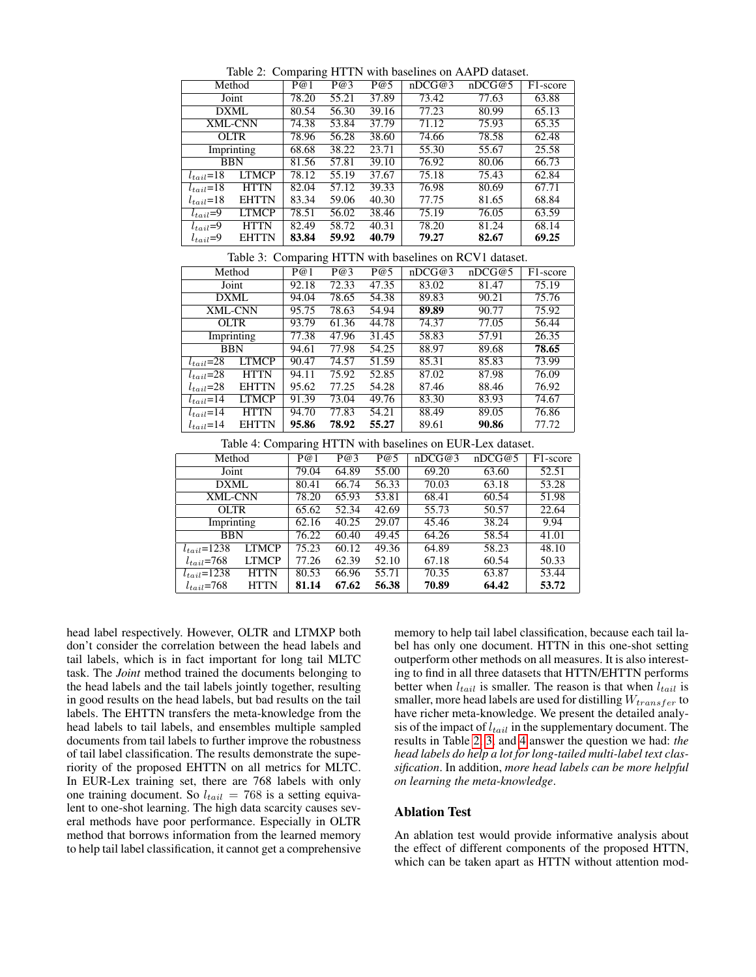<span id="page-5-0"></span>

|                 |              |       | o     |       |        |        |                       |
|-----------------|--------------|-------|-------|-------|--------|--------|-----------------------|
| Method          |              | P@1   | P@3   | P@5   | nDCG@3 | nDCG@5 | F <sub>1</sub> -score |
| Joint           |              | 78.20 | 55.21 | 37.89 | 73.42  | 77.63  | 63.88                 |
| DXML            |              | 80.54 | 56.30 | 39.16 | 77.23  | 80.99  | 65.13                 |
| <b>XML-CNN</b>  |              | 74.38 | 53.84 | 37.79 | 71.12  | 75.93  | 65.35                 |
| <b>OLTR</b>     |              | 78.96 | 56.28 | 38.60 | 74.66  | 78.58  | 62.48                 |
| Imprinting      |              | 68.68 | 38.22 | 23.71 | 55.30  | 55.67  | 25.58                 |
| <b>BBN</b>      |              | 81.56 | 57.81 | 39.10 | 76.92  | 80.06  | 66.73                 |
| $l_{tail} = 18$ | <b>LTMCP</b> | 78.12 | 55.19 | 37.67 | 75.18  | 75.43  | 62.84                 |
| $l_{tail}$ =18  | <b>HTTN</b>  | 82.04 | 57.12 | 39.33 | 76.98  | 80.69  | 67.71                 |
| $l_{tail} = 18$ | <b>EHTTN</b> | 83.34 | 59.06 | 40.30 | 77.75  | 81.65  | 68.84                 |
| $l_{tail}=9$    | <b>LTMCP</b> | 78.51 | 56.02 | 38.46 | 75.19  | 76.05  | 63.59                 |
| $l_{tail} = 9$  | <b>HTTN</b>  | 82.49 | 58.72 | 40.31 | 78.20  | 81.24  | 68.14                 |
| $t_{tail} = 9$  | <b>EHTTN</b> | 83.84 | 59.92 | 40.79 | 79.27  | 82.67  | 69.25                 |

Table 2: Comparing HTTN with baselines on AAPD dataset.

Table 3: Comparing HTTN with baselines on RCV1 dataset.

| Method          |              | P@1   | P@3   | P@5   | nDCG@3 | nDCG@5 | F <sub>1</sub> -score |
|-----------------|--------------|-------|-------|-------|--------|--------|-----------------------|
| Joint           |              | 92.18 | 72.33 | 47.35 | 83.02  | 81.47  | 75.19                 |
| DXML            |              | 94.04 | 78.65 | 54.38 | 89.83  | 90.21  | 75.76                 |
| <b>XML-CNN</b>  |              | 95.75 | 78.63 | 54.94 | 89.89  | 90.77  | 75.92                 |
| <b>OLTR</b>     |              | 93.79 | 61.36 | 44.78 | 74.37  | 77.05  | 56.44                 |
| Imprinting      |              | 77.38 | 47.96 | 31.45 | 58.83  | 57.91  | 26.35                 |
| <b>BBN</b>      |              | 94.61 | 77.98 | 54.25 | 88.97  | 89.68  | 78.65                 |
| $l_{tail}=28$   | <b>LTMCP</b> | 90.47 | 74.57 | 51.59 | 85.31  | 85.83  | 73.99                 |
| $l_{tail}=28$   | <b>HTTN</b>  | 94.11 | 75.92 | 52.85 | 87.02  | 87.98  | 76.09                 |
| $l_{tail} = 28$ | <b>EHTTN</b> | 95.62 | 77.25 | 54.28 | 87.46  | 88.46  | 76.92                 |
| $l_{tail}=14$   | <b>LTMCP</b> | 91.39 | 73.04 | 49.76 | 83.30  | 83.93  | 74.67                 |
| $l_{tail}$ =14  | <b>HTTN</b>  | 94.70 | 77.83 | 54.21 | 88.49  | 89.05  | 76.86                 |
| $l_{tail}=14$   | <b>EHTTN</b> | 95.86 | 78.92 | 55.27 | 89.61  | 90.86  | 77.72                 |

Table 4: Comparing HTTN with baselines on EUR-Lex dataset.

|                   |              | ັ     |       |       |        |        |                       |
|-------------------|--------------|-------|-------|-------|--------|--------|-----------------------|
| Method            |              | P@1   | P@3   | P@5   | nDCG@3 | nDCG@5 | F <sub>1</sub> -score |
| Joint             |              | 79.04 | 64.89 | 55.00 | 69.20  | 63.60  | 52.51                 |
| <b>DXML</b>       |              | 80.41 | 66.74 | 56.33 | 70.03  | 63.18  | 53.28                 |
| <b>XML-CNN</b>    |              | 78.20 | 65.93 | 53.81 | 68.41  | 60.54  | 51.98                 |
| <b>OLTR</b>       |              | 65.62 | 52.34 | 42.69 | 55.73  | 50.57  | 22.64                 |
| Imprinting        |              | 62.16 | 40.25 | 29.07 | 45.46  | 38.24  | 9.94                  |
| <b>BBN</b>        |              | 76.22 | 60.40 | 49.45 | 64.26  | 58.54  | 41.01                 |
| $l_{tail} = 1238$ | LTMCP        | 75.23 | 60.12 | 49.36 | 64.89  | 58.23  | 48.10                 |
| $l_{tail}$ =768   | <b>LTMCP</b> | 77.26 | 62.39 | 52.10 | 67.18  | 60.54  | 50.33                 |
| $l_{tail}$ =1238  | <b>HTTN</b>  | 80.53 | 66.96 | 55.71 | 70.35  | 63.87  | 53.44                 |
| $l_{tail}$ =768   | <b>HTTN</b>  | 81.14 | 67.62 | 56.38 | 70.89  | 64.42  | 53.72                 |

head label respectively. However, OLTR and LTMXP both don't consider the correlation between the head labels and tail labels, which is in fact important for long tail MLTC task. The *Joint* method trained the documents belonging to the head labels and the tail labels jointly together, resulting in good results on the head labels, but bad results on the tail labels. The EHTTN transfers the meta-knowledge from the head labels to tail labels, and ensembles multiple sampled documents from tail labels to further improve the robustness of tail label classification. The results demonstrate the superiority of the proposed EHTTN on all metrics for MLTC. In EUR-Lex training set, there are 768 labels with only one training document. So  $l_{tail} = 768$  is a setting equivalent to one-shot learning. The high data scarcity causes several methods have poor performance. Especially in OLTR method that borrows information from the learned memory to help tail label classification, it cannot get a comprehensive

memory to help tail label classification, because each tail label has only one document. HTTN in this one-shot setting outperform other methods on all measures. It is also interesting to find in all three datasets that HTTN/EHTTN performs better when  $l_{tail}$  is smaller. The reason is that when  $l_{tail}$  is smaller, more head labels are used for distilling  $W_{transfer}$  to have richer meta-knowledge. We present the detailed analysis of the impact of  $l_{tail}$  in the supplementary document. The results in Table [2, 3,](#page-5-0) and [4](#page-5-0) answer the question we had: *the head labels do help a lot for long-tailed multi-label text classification*. In addition, *more head labels can be more helpful on learning the meta-knowledge*.

### Ablation Test

An ablation test would provide informative analysis about the effect of different components of the proposed HTTN, which can be taken apart as HTTN without attention mod-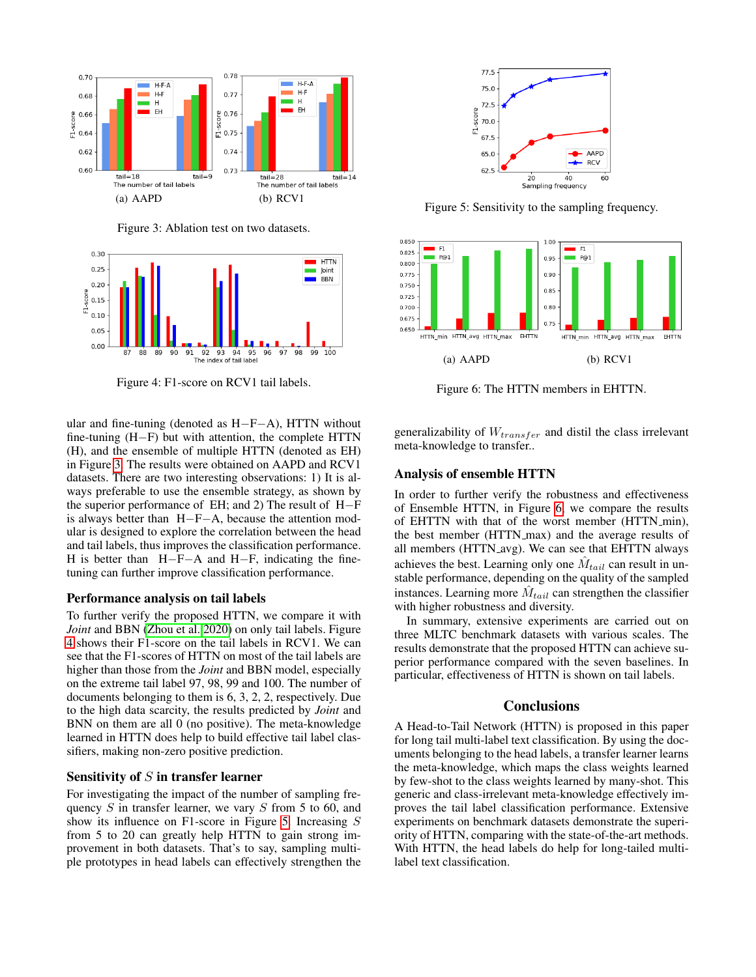<span id="page-6-0"></span>

Figure 3: Ablation test on two datasets.

<span id="page-6-1"></span>

Figure 4: F1-score on RCV1 tail labels.

ular and fine-tuning (denoted as  $H-F-A$ ), HTTN without fine-tuning (H−F) but with attention, the complete HTTN (H), and the ensemble of multiple HTTN (denoted as EH) in Figure [3.](#page-6-0) The results were obtained on AAPD and RCV1 datasets. There are two interesting observations: 1) It is always preferable to use the ensemble strategy, as shown by the superior performance of EH; and 2) The result of H−F is always better than H−F−A, because the attention modular is designed to explore the correlation between the head and tail labels, thus improves the classification performance. H is better than H−F−A and H−F, indicating the finetuning can further improve classification performance.

#### Performance analysis on tail labels

To further verify the proposed HTTN, we compare it with *Joint* and BBN [\(Zhou et al. 2020\)](#page-8-5) on only tail labels. Figure [4](#page-6-1) shows their F1-score on the tail labels in RCV1. We can see that the F1-scores of HTTN on most of the tail labels are higher than those from the *Joint* and BBN model, especially on the extreme tail label 97, 98, 99 and 100. The number of documents belonging to them is 6, 3, 2, 2, respectively. Due to the high data scarcity, the results predicted by *Joint* and BNN on them are all 0 (no positive). The meta-knowledge learned in HTTN does help to build effective tail label classifiers, making non-zero positive prediction.

#### Sensitivity of  $S$  in transfer learner

For investigating the impact of the number of sampling frequency  $S$  in transfer learner, we vary  $S$  from 5 to 60, and show its influence on F1-score in Figure [5.](#page-6-2) Increasing S from 5 to 20 can greatly help HTTN to gain strong improvement in both datasets. That's to say, sampling multiple prototypes in head labels can effectively strengthen the

<span id="page-6-2"></span>

Figure 5: Sensitivity to the sampling frequency.

<span id="page-6-3"></span>

Figure 6: The HTTN members in EHTTN.

generalizability of  $W_{transfer}$  and distil the class irrelevant meta-knowledge to transfer..

#### Analysis of ensemble HTTN

In order to further verify the robustness and effectiveness of Ensemble HTTN, in Figure [6,](#page-6-3) we compare the results of EHTTN with that of the worst member (HTTN\_min), the best member (HTTN\_max) and the average results of all members (HTTN avg). We can see that EHTTN always achieves the best. Learning only one  $\hat{M}_{tail}$  can result in unstable performance, depending on the quality of the sampled instances. Learning more  $\hat{M}_{tail}$  can strengthen the classifier with higher robustness and diversity.

In summary, extensive experiments are carried out on three MLTC benchmark datasets with various scales. The results demonstrate that the proposed HTTN can achieve superior performance compared with the seven baselines. In particular, effectiveness of HTTN is shown on tail labels.

#### **Conclusions**

A Head-to-Tail Network (HTTN) is proposed in this paper for long tail multi-label text classification. By using the documents belonging to the head labels, a transfer learner learns the meta-knowledge, which maps the class weights learned by few-shot to the class weights learned by many-shot. This generic and class-irrelevant meta-knowledge effectively improves the tail label classification performance. Extensive experiments on benchmark datasets demonstrate the superiority of HTTN, comparing with the state-of-the-art methods. With HTTN, the head labels do help for long-tailed multilabel text classification.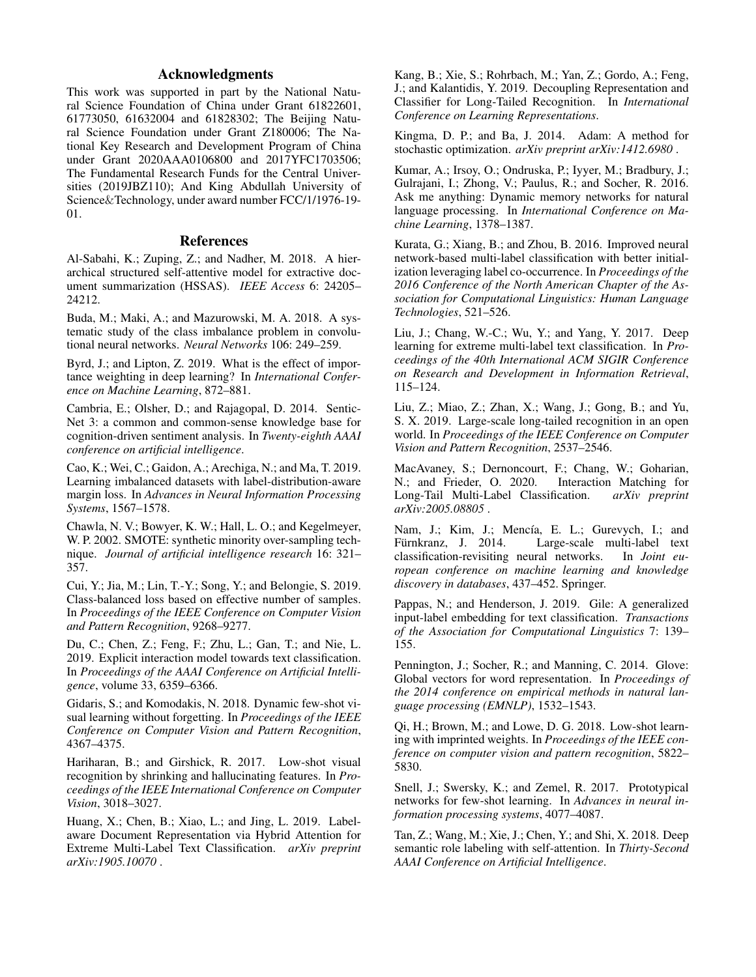# Acknowledgments

This work was supported in part by the National Natural Science Foundation of China under Grant 61822601, 61773050, 61632004 and 61828302; The Beijing Natural Science Foundation under Grant Z180006; The National Key Research and Development Program of China under Grant 2020AAA0106800 and 2017YFC1703506; The Fundamental Research Funds for the Central Universities (2019JBZ110); And King Abdullah University of Science&Technology, under award number FCC/1/1976-19- 01.

### References

<span id="page-7-20"></span>Al-Sabahi, K.; Zuping, Z.; and Nadher, M. 2018. A hierarchical structured self-attentive model for extractive document summarization (HSSAS). *IEEE Access* 6: 24205– 24212.

<span id="page-7-13"></span>Buda, M.; Maki, A.; and Mazurowski, M. A. 2018. A systematic study of the class imbalance problem in convolutional neural networks. *Neural Networks* 106: 249–259.

<span id="page-7-11"></span>Byrd, J.; and Lipton, Z. 2019. What is the effect of importance weighting in deep learning? In *International Conference on Machine Learning*, 872–881.

<span id="page-7-1"></span>Cambria, E.; Olsher, D.; and Rajagopal, D. 2014. Sentic-Net 3: a common and common-sense knowledge base for cognition-driven sentiment analysis. In *Twenty-eighth AAAI conference on artificial intelligence*.

<span id="page-7-7"></span>Cao, K.; Wei, C.; Gaidon, A.; Arechiga, N.; and Ma, T. 2019. Learning imbalanced datasets with label-distribution-aware margin loss. In *Advances in Neural Information Processing Systems*, 1567–1578.

<span id="page-7-12"></span>Chawla, N. V.; Bowyer, K. W.; Hall, L. O.; and Kegelmeyer, W. P. 2002. SMOTE: synthetic minority over-sampling technique. *Journal of artificial intelligence research* 16: 321– 357.

<span id="page-7-8"></span>Cui, Y.; Jia, M.; Lin, T.-Y.; Song, Y.; and Belongie, S. 2019. Class-balanced loss based on effective number of samples. In *Proceedings of the IEEE Conference on Computer Vision and Pattern Recognition*, 9268–9277.

<span id="page-7-4"></span>Du, C.; Chen, Z.; Feng, F.; Zhu, L.; Gan, T.; and Nie, L. 2019. Explicit interaction model towards text classification. In *Proceedings of the AAAI Conference on Artificial Intelligence*, volume 33, 6359–6366.

<span id="page-7-16"></span>Gidaris, S.; and Komodakis, N. 2018. Dynamic few-shot visual learning without forgetting. In *Proceedings of the IEEE Conference on Computer Vision and Pattern Recognition*, 4367–4375.

<span id="page-7-15"></span>Hariharan, B.; and Girshick, R. 2017. Low-shot visual recognition by shrinking and hallucinating features. In *Proceedings of the IEEE International Conference on Computer Vision*, 3018–3027.

<span id="page-7-2"></span>Huang, X.; Chen, B.; Xiao, L.; and Jing, L. 2019. Labelaware Document Representation via Hybrid Attention for Extreme Multi-Label Text Classification. *arXiv preprint arXiv:1905.10070* .

<span id="page-7-14"></span>Kang, B.; Xie, S.; Rohrbach, M.; Yan, Z.; Gordo, A.; Feng, J.; and Kalantidis, Y. 2019. Decoupling Representation and Classifier for Long-Tailed Recognition. In *International Conference on Learning Representations*.

<span id="page-7-23"></span>Kingma, D. P.; and Ba, J. 2014. Adam: A method for stochastic optimization. *arXiv preprint arXiv:1412.6980* .

<span id="page-7-0"></span>Kumar, A.; Irsoy, O.; Ondruska, P.; Iyyer, M.; Bradbury, J.; Gulrajani, I.; Zhong, V.; Paulus, R.; and Socher, R. 2016. Ask me anything: Dynamic memory networks for natural language processing. In *International Conference on Machine Learning*, 1378–1387.

<span id="page-7-6"></span>Kurata, G.; Xiang, B.; and Zhou, B. 2016. Improved neural network-based multi-label classification with better initialization leveraging label co-occurrence. In *Proceedings of the 2016 Conference of the North American Chapter of the Association for Computational Linguistics: Human Language Technologies*, 521–526.

<span id="page-7-5"></span>Liu, J.; Chang, W.-C.; Wu, Y.; and Yang, Y. 2017. Deep learning for extreme multi-label text classification. In *Proceedings of the 40th International ACM SIGIR Conference on Research and Development in Information Retrieval*, 115–124.

<span id="page-7-9"></span>Liu, Z.; Miao, Z.; Zhan, X.; Wang, J.; Gong, B.; and Yu, S. X. 2019. Large-scale long-tailed recognition in an open world. In *Proceedings of the IEEE Conference on Computer Vision and Pattern Recognition*, 2537–2546.

<span id="page-7-10"></span>MacAvaney, S.; Dernoncourt, F.; Chang, W.; Goharian, N.; and Frieder, O. 2020. Interaction Matching for Long-Tail Multi-Label Classification. *arXiv preprint arXiv:2005.08805* .

<span id="page-7-21"></span>Nam, J.; Kim, J.; Mencía, E. L.; Gurevych, I.; and Fürnkranz, J. 2014. Large-scale multi-label text classification-revisiting neural networks. In *Joint european conference on machine learning and knowledge discovery in databases*, 437–452. Springer.

<span id="page-7-3"></span>Pappas, N.; and Henderson, J. 2019. Gile: A generalized input-label embedding for text classification. *Transactions of the Association for Computational Linguistics* 7: 139– 155.

<span id="page-7-18"></span>Pennington, J.; Socher, R.; and Manning, C. 2014. Glove: Global vectors for word representation. In *Proceedings of the 2014 conference on empirical methods in natural language processing (EMNLP)*, 1532–1543.

<span id="page-7-17"></span>Qi, H.; Brown, M.; and Lowe, D. G. 2018. Low-shot learning with imprinted weights. In *Proceedings of the IEEE conference on computer vision and pattern recognition*, 5822– 5830.

<span id="page-7-22"></span>Snell, J.; Swersky, K.; and Zemel, R. 2017. Prototypical networks for few-shot learning. In *Advances in neural information processing systems*, 4077–4087.

<span id="page-7-19"></span>Tan, Z.; Wang, M.; Xie, J.; Chen, Y.; and Shi, X. 2018. Deep semantic role labeling with self-attention. In *Thirty-Second AAAI Conference on Artificial Intelligence*.